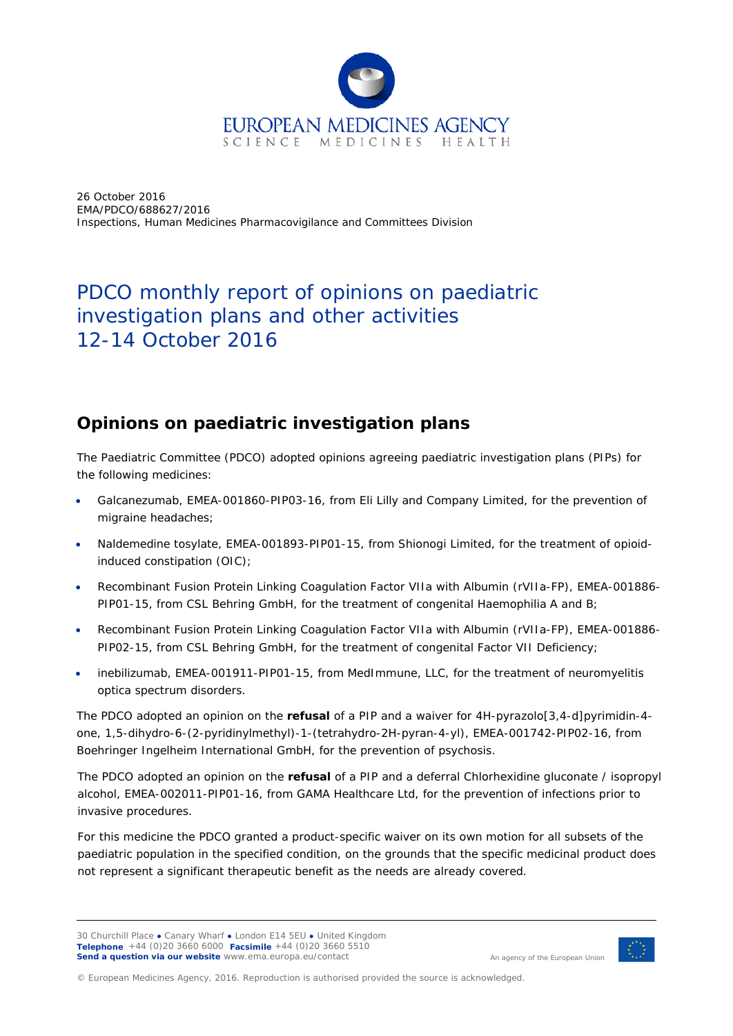

26 October 2016 EMA/PDCO/688627/2016 Inspections, Human Medicines Pharmacovigilance and Committees Division

# PDCO monthly report of opinions on paediatric investigation plans and other activities 12-14 October 2016

### **Opinions on paediatric investigation plans**

The Paediatric Committee (PDCO) adopted opinions agreeing paediatric investigation plans (PIPs) for the following medicines:

- Galcanezumab, EMEA-001860-PIP03-16, from Eli Lilly and Company Limited, for the prevention of migraine headaches;
- Naldemedine tosylate, EMEA-001893-PIP01-15, from Shionogi Limited, for the treatment of opioidinduced constipation (OIC);
- Recombinant Fusion Protein Linking Coagulation Factor VIIa with Albumin (rVIIa-FP), EMEA-001886- PIP01-15, from CSL Behring GmbH, for the treatment of congenital Haemophilia A and B;
- Recombinant Fusion Protein Linking Coagulation Factor VIIa with Albumin (rVIIa-FP), EMEA-001886- PIP02-15, from CSL Behring GmbH, for the treatment of congenital Factor VII Deficiency;
- inebilizumab, EMEA-001911-PIP01-15, from MedImmune, LLC, for the treatment of neuromyelitis optica spectrum disorders.

The PDCO adopted an opinion on the **refusal** of a PIP and a waiver for 4H-pyrazolo[3,4-d]pyrimidin-4 one, 1,5-dihydro-6-(2-pyridinylmethyl)-1-(tetrahydro-2H-pyran-4-yl), EMEA-001742-PIP02-16, from Boehringer Ingelheim International GmbH, for the prevention of psychosis.

The PDCO adopted an opinion on the **refusal** of a PIP and a deferral Chlorhexidine gluconate / isopropyl alcohol, EMEA-002011-PIP01-16, from GAMA Healthcare Ltd, for the prevention of infections prior to invasive procedures.

For this medicine the PDCO granted a product-specific waiver on its own motion for all subsets of the paediatric population in the specified condition, on the grounds that the specific medicinal product does not represent a significant therapeutic benefit as the needs are already covered.



An agency of the European Union

© European Medicines Agency, 2016. Reproduction is authorised provided the source is acknowledged.

<sup>30</sup> Churchill Place **●** Canary Wharf **●** London E14 5EU **●** United Kingdom **Telephone** +44 (0)20 3660 6000 **Facsimile** +44 (0)20 3660 5510 **Send a question via our website** www.ema.europa.eu/contact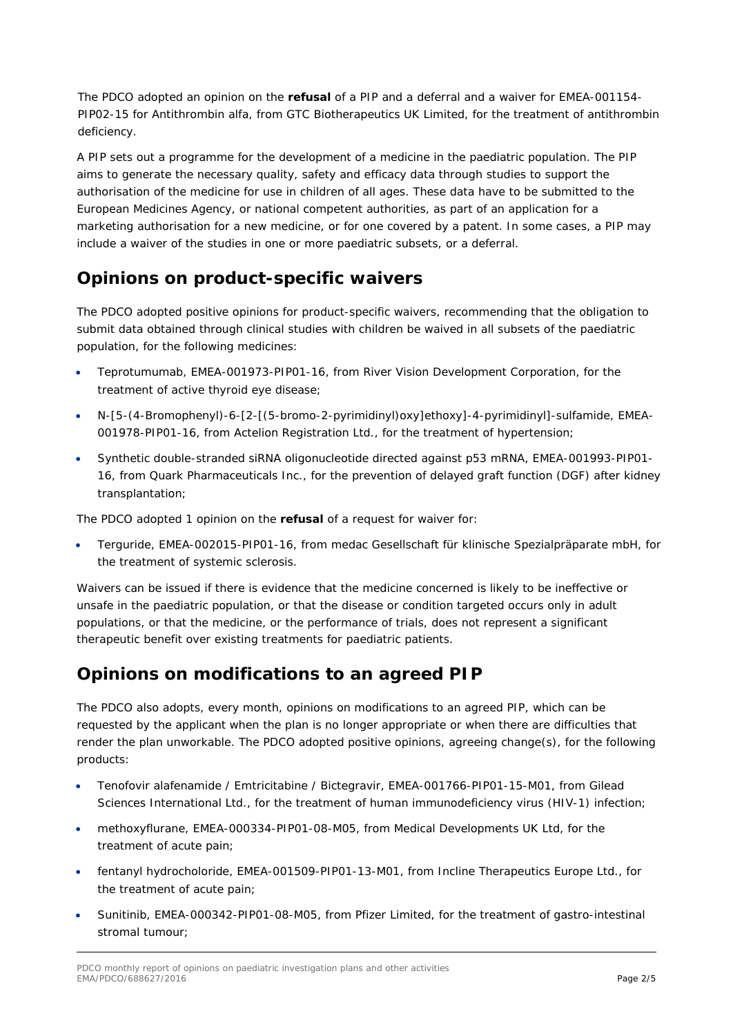The PDCO adopted an opinion on the **refusal** of a PIP and a deferral and a waiver for EMEA-001154- PIP02-15 for Antithrombin alfa, from GTC Biotherapeutics UK Limited, for the treatment of antithrombin deficiency.

A PIP sets out a programme for the development of a medicine in the paediatric population. The PIP aims to generate the necessary quality, safety and efficacy data through studies to support the authorisation of the medicine for use in children of all ages. These data have to be submitted to the European Medicines Agency, or national competent authorities, as part of an application for a marketing authorisation for a new medicine, or for one covered by a patent. In some cases, a PIP may include a waiver of the studies in one or more paediatric subsets, or a deferral.

## **Opinions on product-specific waivers**

The PDCO adopted positive opinions for product-specific waivers, recommending that the obligation to submit data obtained through clinical studies with children be waived in all subsets of the paediatric population, for the following medicines:

- Teprotumumab, EMEA-001973-PIP01-16, from River Vision Development Corporation, for the treatment of active thyroid eye disease;
- N-[5-(4-Bromophenyl)-6-[2-[(5-bromo-2-pyrimidinyl)oxy]ethoxy]-4-pyrimidinyl]-sulfamide, EMEA-001978-PIP01-16, from Actelion Registration Ltd., for the treatment of hypertension;
- Synthetic double-stranded siRNA oligonucleotide directed against p53 mRNA, EMEA-001993-PIP01- 16, from Quark Pharmaceuticals Inc., for the prevention of delayed graft function (DGF) after kidney transplantation;

The PDCO adopted 1 opinion on the **refusal** of a request for waiver for:

• Terguride, EMEA-002015-PIP01-16, from medac Gesellschaft für klinische Spezialpräparate mbH, for the treatment of systemic sclerosis.

Waivers can be issued if there is evidence that the medicine concerned is likely to be ineffective or unsafe in the paediatric population, or that the disease or condition targeted occurs only in adult populations, or that the medicine, or the performance of trials, does not represent a significant therapeutic benefit over existing treatments for paediatric patients.

## **Opinions on modifications to an agreed PIP**

The PDCO also adopts, every month, opinions on modifications to an agreed PIP, which can be requested by the applicant when the plan is no longer appropriate or when there are difficulties that render the plan unworkable. The PDCO adopted positive opinions, agreeing change(s), for the following products:

- Tenofovir alafenamide / Emtricitabine / Bictegravir, EMEA-001766-PIP01-15-M01, from Gilead Sciences International Ltd., for the treatment of human immunodeficiency virus (HIV-1) infection;
- methoxyflurane, EMEA-000334-PIP01-08-M05, from Medical Developments UK Ltd, for the treatment of acute pain;
- fentanyl hydrocholoride, EMEA-001509-PIP01-13-M01, from Incline Therapeutics Europe Ltd., for the treatment of acute pain;
- Sunitinib, EMEA-000342-PIP01-08-M05, from Pfizer Limited, for the treatment of gastro-intestinal stromal tumour;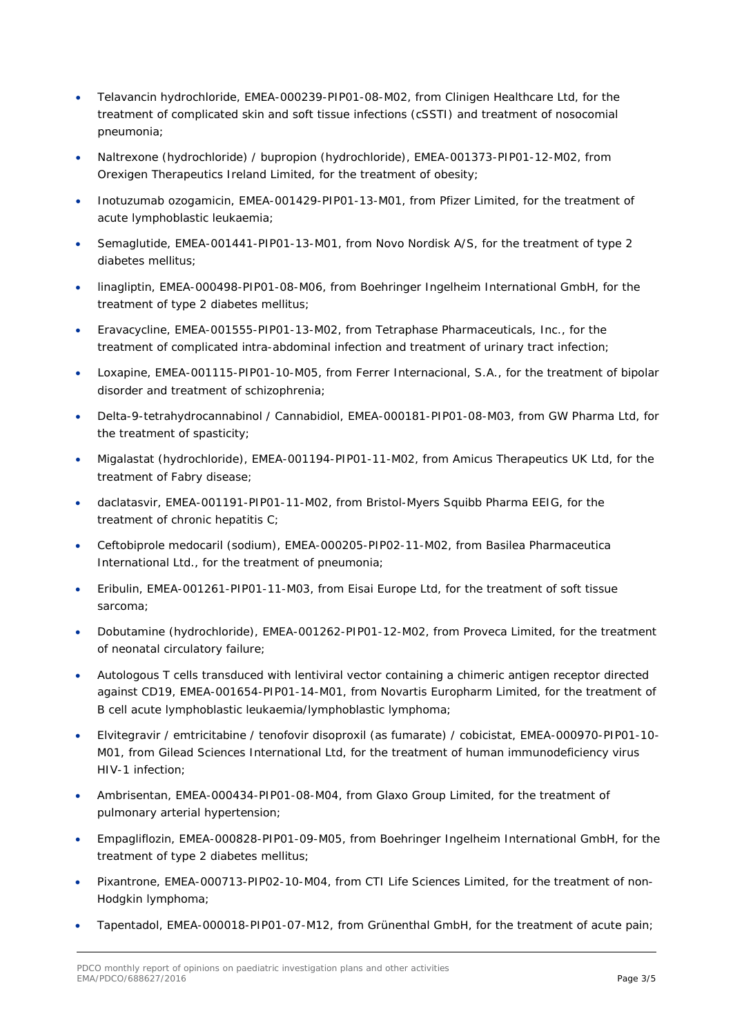- Telavancin hydrochloride, EMEA-000239-PIP01-08-M02, from Clinigen Healthcare Ltd, for the treatment of complicated skin and soft tissue infections (cSSTI) and treatment of nosocomial pneumonia;
- Naltrexone (hydrochloride) / bupropion (hydrochloride), EMEA-001373-PIP01-12-M02, from Orexigen Therapeutics Ireland Limited, for the treatment of obesity;
- Inotuzumab ozogamicin, EMEA-001429-PIP01-13-M01, from Pfizer Limited, for the treatment of acute lymphoblastic leukaemia;
- Semaglutide, EMEA-001441-PIP01-13-M01, from Novo Nordisk A/S, for the treatment of type 2 diabetes mellitus;
- linagliptin, EMEA-000498-PIP01-08-M06, from Boehringer Ingelheim International GmbH, for the treatment of type 2 diabetes mellitus;
- Eravacycline, EMEA-001555-PIP01-13-M02, from Tetraphase Pharmaceuticals, Inc., for the treatment of complicated intra-abdominal infection and treatment of urinary tract infection;
- Loxapine, EMEA-001115-PIP01-10-M05, from Ferrer Internacional, S.A., for the treatment of bipolar disorder and treatment of schizophrenia;
- Delta-9-tetrahydrocannabinol / Cannabidiol, EMEA-000181-PIP01-08-M03, from GW Pharma Ltd, for the treatment of spasticity;
- Migalastat (hydrochloride), EMEA-001194-PIP01-11-M02, from Amicus Therapeutics UK Ltd, for the treatment of Fabry disease;
- daclatasvir, EMEA-001191-PIP01-11-M02, from Bristol-Myers Squibb Pharma EEIG, for the treatment of chronic hepatitis C;
- Ceftobiprole medocaril (sodium), EMEA-000205-PIP02-11-M02, from Basilea Pharmaceutica International Ltd., for the treatment of pneumonia;
- Eribulin, EMEA-001261-PIP01-11-M03, from Eisai Europe Ltd, for the treatment of soft tissue sarcoma;
- Dobutamine (hydrochloride), EMEA-001262-PIP01-12-M02, from Proveca Limited, for the treatment of neonatal circulatory failure;
- Autologous T cells transduced with lentiviral vector containing a chimeric antigen receptor directed against CD19, EMEA-001654-PIP01-14-M01, from Novartis Europharm Limited, for the treatment of B cell acute lymphoblastic leukaemia/lymphoblastic lymphoma;
- Elvitegravir / emtricitabine / tenofovir disoproxil (as fumarate) / cobicistat, EMEA-000970-PIP01-10- M01, from Gilead Sciences International Ltd, for the treatment of human immunodeficiency virus HIV-1 infection;
- Ambrisentan, EMEA-000434-PIP01-08-M04, from Glaxo Group Limited, for the treatment of pulmonary arterial hypertension;
- Empagliflozin, EMEA-000828-PIP01-09-M05, from Boehringer Ingelheim International GmbH, for the treatment of type 2 diabetes mellitus;
- Pixantrone, EMEA-000713-PIP02-10-M04, from CTI Life Sciences Limited, for the treatment of non-Hodgkin lymphoma;
- Tapentadol, EMEA-000018-PIP01-07-M12, from Grünenthal GmbH, for the treatment of acute pain;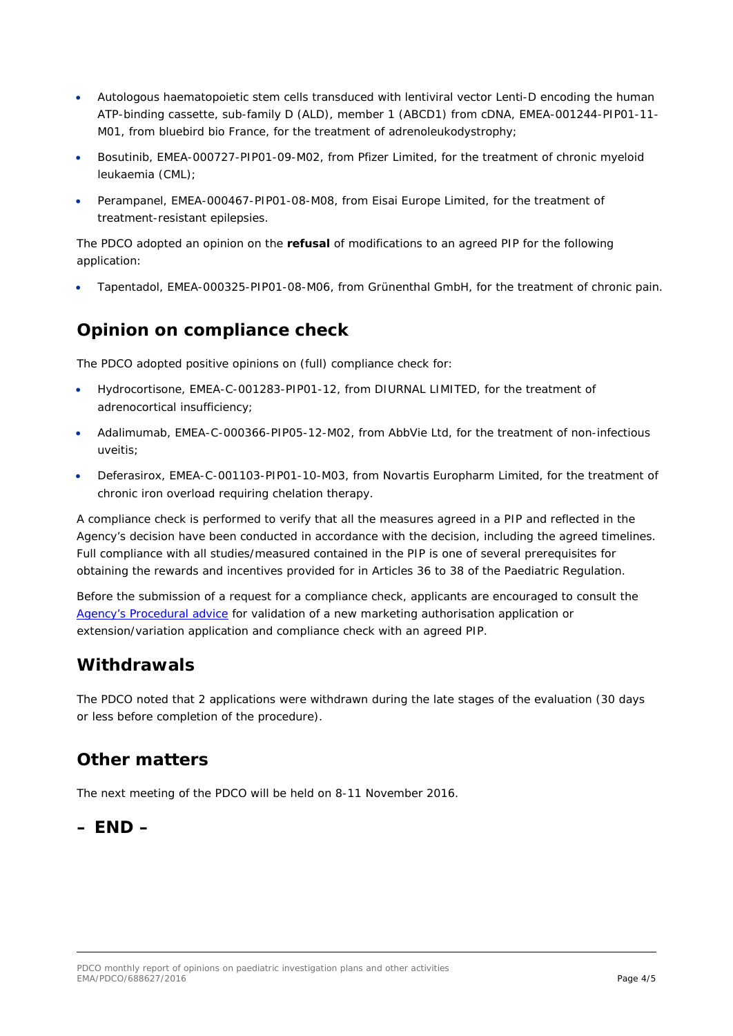- Autologous haematopoietic stem cells transduced with lentiviral vector Lenti-D encoding the human ATP-binding cassette, sub-family D (ALD), member 1 (ABCD1) from cDNA, EMEA-001244-PIP01-11- M01, from bluebird bio France, for the treatment of adrenoleukodystrophy;
- Bosutinib, EMEA-000727-PIP01-09-M02, from Pfizer Limited, for the treatment of chronic myeloid leukaemia (CML);
- Perampanel, EMEA-000467-PIP01-08-M08, from Eisai Europe Limited, for the treatment of treatment-resistant epilepsies.

The PDCO adopted an opinion on the **refusal** of modifications to an agreed PIP for the following application:

• Tapentadol, EMEA-000325-PIP01-08-M06, from Grünenthal GmbH, for the treatment of chronic pain.

### **Opinion on compliance check**

The PDCO adopted positive opinions on (full) compliance check for:

- Hydrocortisone, EMEA-C-001283-PIP01-12, from DIURNAL LIMITED, for the treatment of adrenocortical insufficiency;
- Adalimumab, EMEA-C-000366-PIP05-12-M02, from AbbVie Ltd, for the treatment of non-infectious uveitis;
- Deferasirox, EMEA-C-001103-PIP01-10-M03, from Novartis Europharm Limited, for the treatment of chronic iron overload requiring chelation therapy.

A compliance check is performed to verify that all the measures agreed in a PIP and reflected in the Agency's decision have been conducted in accordance with the decision, including the agreed timelines. Full compliance with all studies/measured contained in the PIP is one of several prerequisites for obtaining the rewards and incentives provided for in Articles 36 to 38 of the Paediatric Regulation.

Before the submission of a request for a compliance check, applicants are encouraged to consult the [Agency's Procedural advice](http://www.emea.europa.eu/pdfs/human/paediatrics/55363107en.pdf) for validation of a new marketing authorisation application or extension/variation application and compliance check with an agreed PIP.

#### **Withdrawals**

The PDCO noted that 2 applications were withdrawn during the late stages of the evaluation (30 days or less before completion of the procedure).

## **Other matters**

The next meeting of the PDCO will be held on 8-11 November 2016.

#### **– END –**